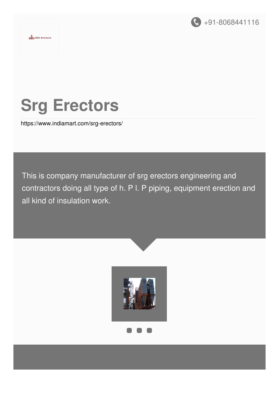

# **Srg Erectors**

 $\frac{1}{\pi \ln 8RG}$  Erectors

<https://www.indiamart.com/srg-erectors/>

This is company manufacturer of srg erectors engineering and contractors doing all type of h. P l. P piping, equipment erection and all kind of insulation work.

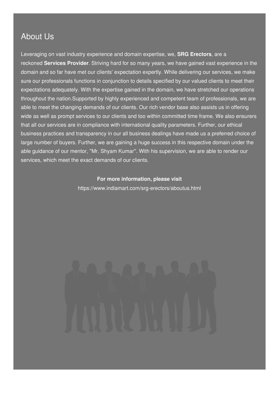### About Us

Leveraging on vast industry experience and domain expertise, we, **SRG Erectors**, are a reckoned **Services Provider**. Striving hard for so many years, we have gained vast experience in the domain and so far have met our clients' expectation expertly. While delivering our services, we make sure our professionals functions in conjunction to details specified by our valued clients to meet their expectations adequately. With the expertise gained in the domain, we have stretched our operations throughout the nation.Supported by highly experienced and competent team of professionals, we are able to meet the changing demands of our clients. Our rich vendor base also assists us in offering wide as well as prompt services to our clients and too within committed time frame. We also ensurers that all our services are in compliance with international quality parameters. Further, our ethical business practices and transparency in our all business dealings have made us a preferred choice of large number of buyers. Further, we are gaining a huge success in this respective domain under the able guidance of our mentor, ''Mr. Shyam Kumar''. With his supervision, we are able to render our services, which meet the exact demands of our clients.

#### **For more information, please visit**

<https://www.indiamart.com/srg-erectors/aboutus.html>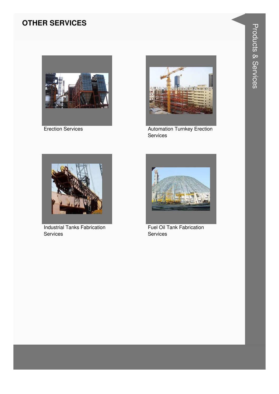#### **OTHER SERVICES**



**Erection Services** 



**Automation Turnkey Erection** Services



**Industrial Tanks Fabrication** Services



**Fuel Oil Tank Fabrication** Services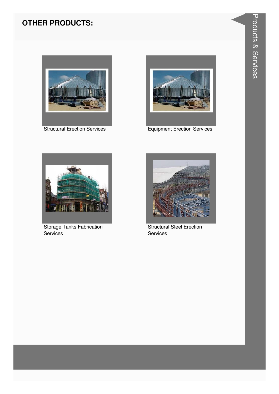#### **OTHER PRODUCTS:**



**Structural Erection Services** 



**Equipment Erection Services** 



Storage Tanks Fabrication Services



**Structural Steel Erection** Services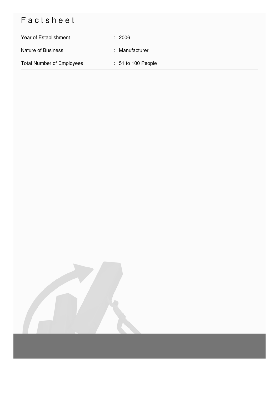## Factsheet

| Year of Establishment            | $\div$ 2006          |
|----------------------------------|----------------------|
| <b>Nature of Business</b>        | : Manufacturer       |
| <b>Total Number of Employees</b> | $: 51$ to 100 People |